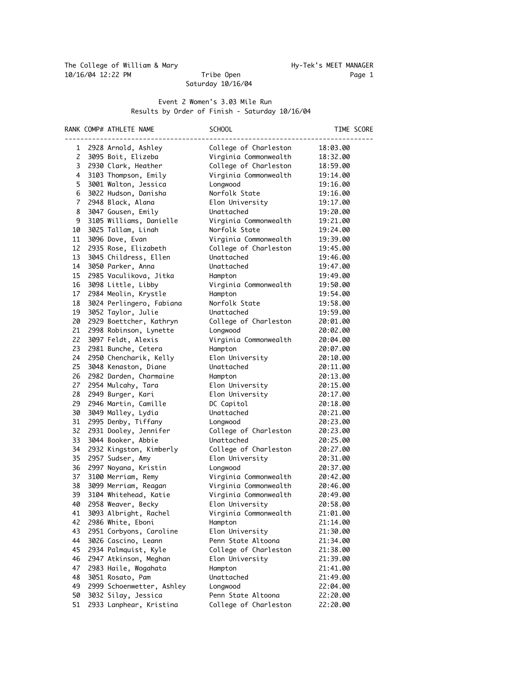Saturday 10/16/04

## Event 2 Women's 3.03 Mile Run Results by Order of Finish - Saturday 10/16/04

|                | RANK COMP# ATHLETE NAME                        | SCHOOL                         |                      | TIME SCORE |
|----------------|------------------------------------------------|--------------------------------|----------------------|------------|
| 1              | 2928 Arnold, Ashley                            | College of Charleston          | 18:03.00             |            |
| 2              | 3095 Boit, Elizeba                             | Virginia Commonwealth          | 18:32.00             |            |
| 3              | 2930 Clark, Heather                            | College of Charleston          | 18:59.00             |            |
| 4              | 3103 Thompson, Emily                           | Virginia Commonwealth          | 19:14.00             |            |
| 5              | 3001 Walton, Jessica                           | Longwood                       | 19:16.00             |            |
| 6              | 3022 Hudson, Danisha                           | Norfolk State                  | 19:16.00             |            |
| $\overline{7}$ | 2948 Black, Alana                              | Elon University                | 19:17.00             |            |
| 8              | 3047 Gousen, Emily                             | Unattached                     | 19:20.00             |            |
| 9              | 3105 Williams, Danielle                        | Virginia Commonwealth          | 19:21.00             |            |
| 10             | 3025 Tallam, Linah                             | Norfolk State                  | 19:24.00             |            |
| 11             | 3096 Dove, Evan                                | Virginia Commonwealth          | 19:39.00             |            |
| 12             | 2935 Rose, Elizabeth                           | College of Charleston          | 19:45.00             |            |
| 13             | 3045 Childress, Ellen                          | Unattached                     | 19:46.00             |            |
| 14             | 3050 Parker, Anna                              | Unattached                     | 19:47.00             |            |
| 15             | 2985 Vaculikova, Jitka                         | Hampton                        | 19:49.00             |            |
| 16             | 3098 Little, Libby                             | Virginia Commonwealth          | 19:50.00             |            |
| 17             | 2984 Meolin, Krystle                           | Hampton                        | 19:54.00             |            |
| 18             | 3024 Perlingero, Fabiana                       | Norfolk State                  | 19:58.00             |            |
| 19             | 3052 Taylor, Julie                             | Unattached                     | 19:59.00             |            |
| 20             | 2929 Boettcher, Kathryn                        | College of Charleston          | 20:01.00             |            |
| 21             | 2998 Robinson, Lynette                         | Longwood                       | 20:02.00             |            |
| 22             | 3097 Feldt, Alexis                             | Virginia Commonwealth          | 20:04.00             |            |
| 23             | 2981 Bunche, Cetera                            | Hampton                        | 20:07.00             |            |
| 24             | 2950 Chencharik, Kelly                         | Elon University                | 20:10.00             |            |
| 25             | 3048 Kenaston, Diane                           | Unattached                     | 20:11.00             |            |
| 26             | 2982 Darden, Charmaine                         | Hampton                        | 20:13.00             |            |
| 27             | 2954 Mulcahy, Tara                             | Elon University                | 20:15.00             |            |
| 28             | 2949 Burger, Kari                              | Elon University                | 20:17.00             |            |
| 29             | 2946 Martin, Camille                           | DC Capitol                     | 20:18.00             |            |
| 30             | 3049 Malley, Lydia                             | Unattached                     | 20:21.00             |            |
| 31             | 2995 Denby, Tiffany                            | Longwood                       | 20:23.00             |            |
| 32             | 2931 Dooley, Jennifer                          | College of Charleston          | 20:23.00             |            |
| 33             | 3044 Booker, Abbie                             | Unattached                     | 20:25.00             |            |
| 34             | 2932 Kingston, Kimberly                        | College of Charleston          | 20:27.00             |            |
| 35             | 2957 Sudser, Amy                               | Elon University                | 20:31.00             |            |
| 36             | 2997 Noyana, Kristin                           | Longwood                       | 20:37.00             |            |
| 37             | 3100 Merriam, Remy                             | Virginia Commonwealth          | 20:42.00             |            |
| 38             | 3099 Merriam, Reagan                           | Virginia Commonwealth          | 20:46.00             |            |
| 39             | 3104 Whitehead, Katie                          | Virginia Commonwealth          | 20:49.00             |            |
| 40             | 2958 Weaver, Becky                             | Elon University                | 20:58.00             |            |
| 41             | 3093 Albright, Rachel                          | Virginia Commonwealth          | 21:01.00             |            |
| 42             | 2986 White, Eboni                              | Hampton                        | 21:14.00             |            |
| 43             | 2951 Corbyons, Caroline                        | Elon University                | 21:30.00             |            |
| 44             | 3026 Cascino, Leann                            | Penn State Altoona             | 21:34.00             |            |
| 45             | 2934 Palmquist, Kyle                           | College of Charleston          | 21:38.00             |            |
| 46             | 2947 Atkinson, Meghan                          | Elon University                | 21:39.00             |            |
| 47             | 2983 Haile, Wogahata                           | Hampton<br>Unattached          | 21:41.00             |            |
| 48             | 3051 Rosato, Pam                               |                                | 21:49.00             |            |
| 49<br>50       | 2999 Schoenwetter, Ashley                      | Longwood<br>Penn State Altoona | 22:04.00<br>22:20.00 |            |
| 51             | 3032 Silay, Jessica<br>2933 Lanphear, Kristina | College of Charleston          | 22:20.00             |            |
|                |                                                |                                |                      |            |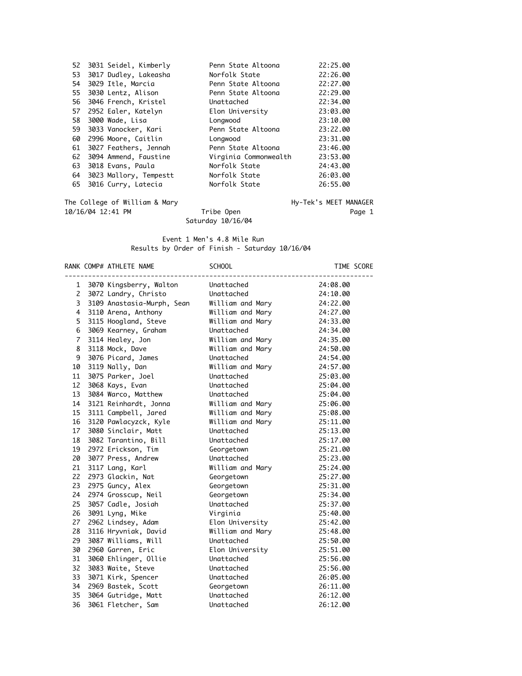|    | 52 3031 Seidel, Kimberly | Penn State Altoona    | 22:25.00 |
|----|--------------------------|-----------------------|----------|
| 53 | 3017 Dudley, Lakeasha    | Norfolk State         | 22:26.00 |
| 54 | 3029 Itle, Marcia        | Penn State Altoona    | 22:27.00 |
| 55 | 3030 Lentz, Alison       | Penn State Altoona    | 22:29.00 |
| 56 | 3046 French, Kristel     | Unattached            | 22:34.00 |
| 57 | 2952 Ealer, Katelyn      | Elon University       | 23:03.00 |
| 58 | 3000 Wade, Lisa          | Longwood              | 23:10.00 |
| 59 | 3033 Vanocker, Kari      | Penn State Altoona    | 23:22.00 |
| 60 | 2996 Moore, Caitlin      | Longwood              | 23:31.00 |
| 61 | 3027 Feathers, Jennah    | Penn State Altoona    | 23:46.00 |
| 62 | 3094 Ammend, Faustine    | Virginia Commonwealth | 23:53.00 |
| 63 | 3018 Evans, Paula        | Norfolk State         | 24:43.00 |
| 64 | 3023 Mallory, Tempestt   | Norfolk State         | 26:03.00 |
| 65 | 3016 Curry, Latecia      | Norfolk State         | 26:55.00 |
|    |                          |                       |          |

The College of William & Mary Tribe Open Hy-Tek's MEET MANAGER<br>10/16/04 12:41 PM Tribe Open Page 1 10/16/04 12:41 PM Tribe Open Page 1

Saturday 10/16/04

## Event 1 Men's 4.8 Mile Run Results by Order of Finish - Saturday 10/16/04

|                | RANK COMP# ATHLETE NAME    | <b>SCHOOL</b>    | TIME SCORE |
|----------------|----------------------------|------------------|------------|
| $\mathbf{1}$   | 3070 Kingsberry, Walton    | Unattached       | 24:08.00   |
| $\mathsf{2}$   | 3072 Landry, Christo       | Unattached       | 24:10.00   |
| 3              | 3109 Anastasia-Murph, Sean | William and Mary | 24:22.00   |
| 4              | 3110 Arena, Anthony        | William and Mary | 24:27.00   |
| 5              | 3115 Hoogland, Steve       | William and Mary | 24:33.00   |
| 6              | 3069 Kearney, Graham       | Unattached       | 24:34.00   |
| $\overline{7}$ | 3114 Healey, Jon           | William and Mary | 24:35.00   |
| 8              | 3118 Mock, Dave            | William and Mary | 24:50.00   |
| 9              | 3076 Picard, James         | Unattached       | 24:54.00   |
| 10             | 3119 Nally, Dan            | William and Mary | 24:57.00   |
| 11             | 3075 Parker, Joel          | Unattached       | 25:03.00   |
| 12             | 3068 Kays, Evan            | Unattached       | 25:04.00   |
| 13             | 3084 Warco, Matthew        | Unattached       | 25:04.00   |
| 14             | 3121 Reinhardt, Jonna      | William and Mary | 25:06.00   |
| 15             | 3111 Campbell, Jared       | William and Mary | 25:08.00   |
| 16             | 3120 Pawlacyzck, Kyle      | William and Mary | 25:11.00   |
| 17             | 3080 Sinclair, Matt        | Unattached       | 25:13.00   |
| 18             | 3082 Tarantino, Bill       | Unattached       | 25:17.00   |
|                | 19 2972 Erickson, Tim      | Georgetown       | 25:21.00   |
| 20             | 3077 Press, Andrew         | Unattached       | 25:23.00   |
| 21             | 3117 Lang, Karl            | William and Mary | 25:24.00   |
| 22             | 2973 Glackin, Nat          | Georgetown       | 25:27.00   |
| 23             | 2975 Guncy, Alex           | Georgetown       | 25:31.00   |
| 24             | 2974 Grosscup, Neil        | Georgetown       | 25:34.00   |
| 25             | 3057 Cadle, Josiah         | Unattached       | 25:37.00   |
| 26             | 3091 Lyng, Mike            | Virginia         | 25:40.00   |
| 27             | 2962 Lindsey, Adam         | Elon University  | 25:42.00   |
| 28             | 3116 Hryvniak, David       | William and Mary | 25:48.00   |
| 29             | 3087 Williams, Will        | Unattached       | 25:50.00   |
| 30             | 2960 Garren, Eric          | Elon University  | 25:51.00   |
| 31             | 3060 Ehlinger, Ollie       | Unattached       | 25:56.00   |
| 32             | 3083 Waite, Steve          | Unattached       | 25:56.00   |
| 33             | 3071 Kirk, Spencer         | Unattached       | 26:05.00   |
| 34             | 2969 Bastek, Scott         | Georgetown       | 26:11.00   |
| 35             | 3064 Gutridge, Matt        | Unattached       | 26:12.00   |
| 36             | 3061 Fletcher, Sam         | Unattached       | 26:12.00   |
|                |                            |                  |            |